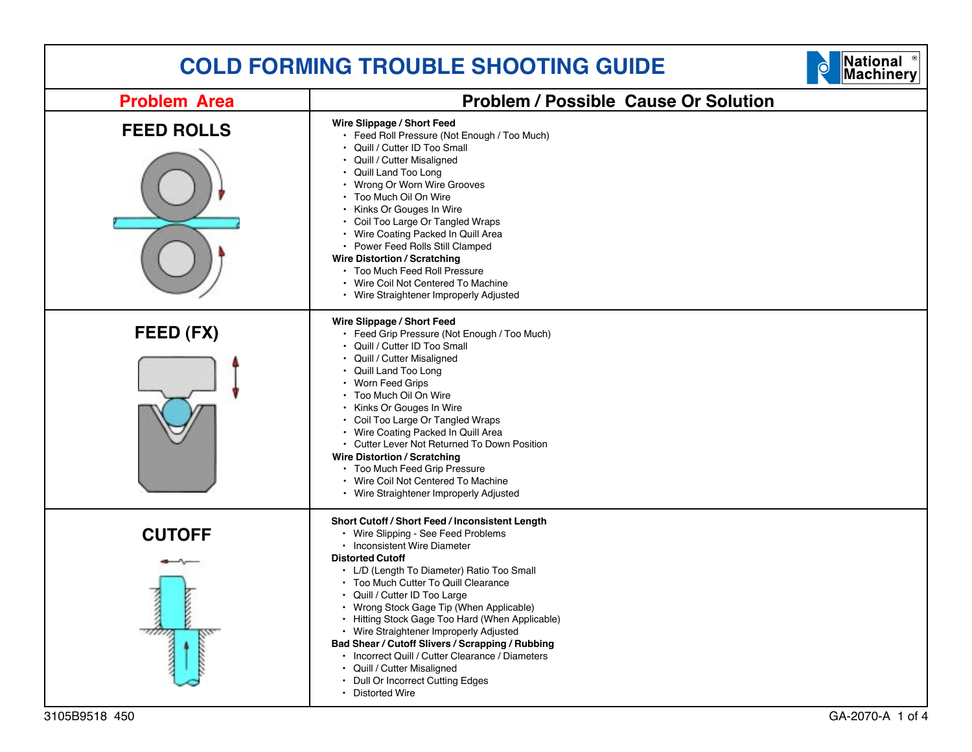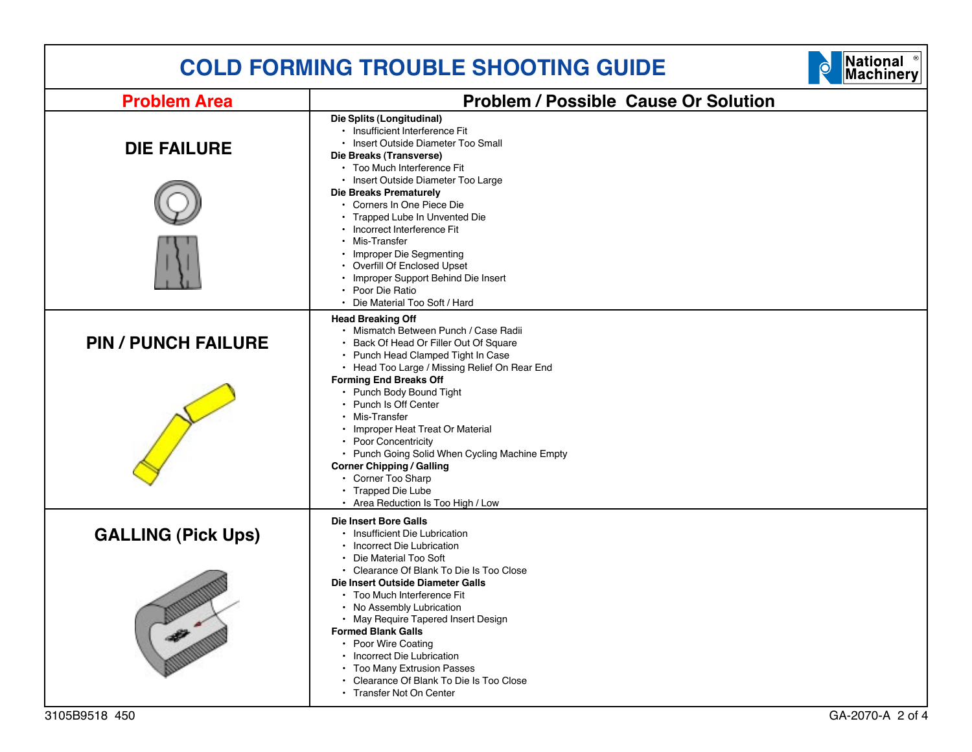| National <sup>®</sup><br>Machinery<br><b>COLD FORMING TROUBLE SHOOTING GUIDE</b> |                                                                                                                                                                                                                                                                                                                                                                                                                                |  |
|----------------------------------------------------------------------------------|--------------------------------------------------------------------------------------------------------------------------------------------------------------------------------------------------------------------------------------------------------------------------------------------------------------------------------------------------------------------------------------------------------------------------------|--|
| <b>Problem Area</b>                                                              | <b>Problem / Possible Cause Or Solution</b>                                                                                                                                                                                                                                                                                                                                                                                    |  |
| <b>DIE FAILURE</b>                                                               | Die Splits (Longitudinal)<br>• Insufficient Interference Fit<br>· Insert Outside Diameter Too Small<br>Die Breaks (Transverse)<br>• Too Much Interference Fit<br>• Insert Outside Diameter Too Large                                                                                                                                                                                                                           |  |
|                                                                                  | <b>Die Breaks Prematurely</b><br>• Corners In One Piece Die<br>• Trapped Lube In Unvented Die<br>• Incorrect Interference Fit<br>• Mis-Transfer                                                                                                                                                                                                                                                                                |  |
|                                                                                  | • Improper Die Segmenting<br>• Overfill Of Enclosed Upset<br>• Improper Support Behind Die Insert<br>• Poor Die Ratio<br>• Die Material Too Soft / Hard                                                                                                                                                                                                                                                                        |  |
| <b>PIN / PUNCH FAILURE</b>                                                       | <b>Head Breaking Off</b><br>· Mismatch Between Punch / Case Radii<br>• Back Of Head Or Filler Out Of Square<br>• Punch Head Clamped Tight In Case<br>• Head Too Large / Missing Relief On Rear End                                                                                                                                                                                                                             |  |
|                                                                                  | <b>Forming End Breaks Off</b><br>• Punch Body Bound Tight<br>• Punch Is Off Center<br>• Mis-Transfer<br>• Improper Heat Treat Or Material<br>• Poor Concentricity<br>• Punch Going Solid When Cycling Machine Empty<br><b>Corner Chipping / Galling</b><br>• Corner Too Sharp<br>• Trapped Die Lube<br>• Area Reduction Is Too High / Low                                                                                      |  |
| <b>GALLING (Pick Ups)</b>                                                        | <b>Die Insert Bore Galls</b><br>• Insufficient Die Lubrication<br>• Incorrect Die Lubrication<br>• Die Material Too Soft<br>• Clearance Of Blank To Die Is Too Close<br>Die Insert Outside Diameter Galls<br>• Too Much Interference Fit<br>• No Assembly Lubrication<br>• May Require Tapered Insert Design<br><b>Formed Blank Galls</b><br>• Poor Wire Coating<br>• Incorrect Die Lubrication<br>• Too Many Extrusion Passes |  |
|                                                                                  | • Clearance Of Blank To Die Is Too Close<br>• Transfer Not On Center                                                                                                                                                                                                                                                                                                                                                           |  |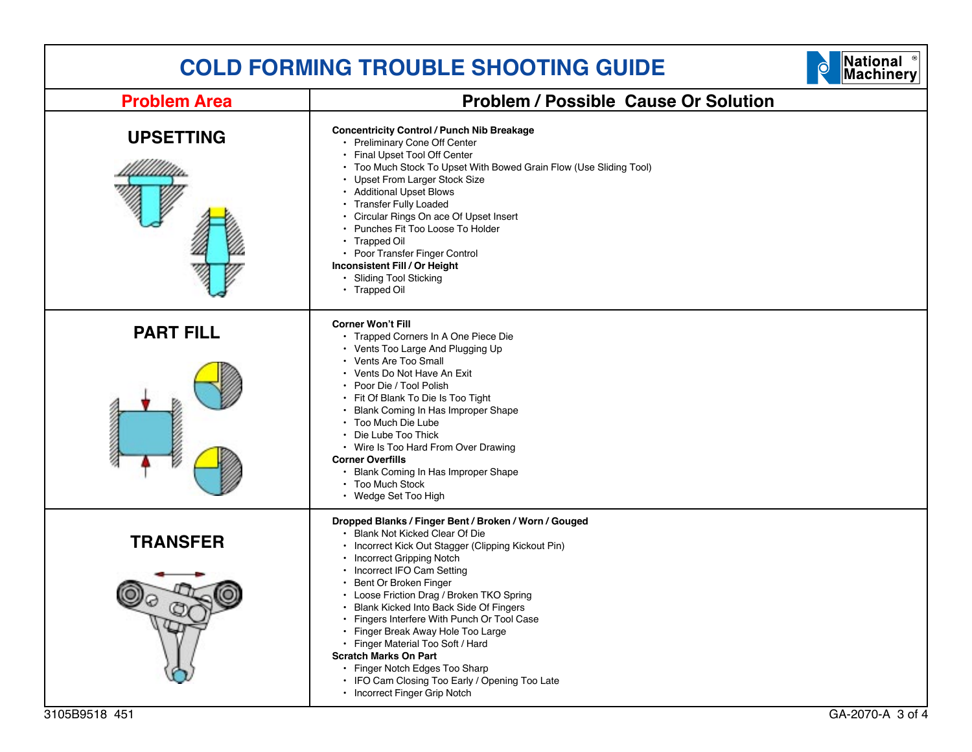